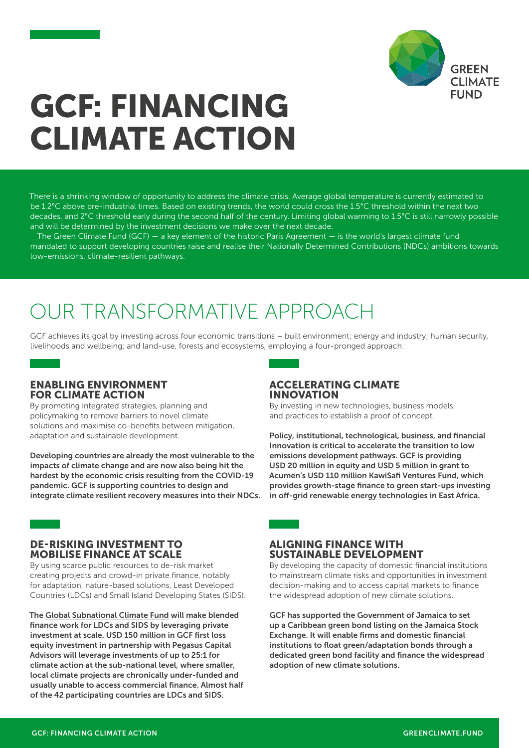

# GCF: FINANCING CLIMATE ACTION

There is a shrinking window of opportunity to address the climate crisis. Average global temperature is currently estimated to be 1.2°C above pre-industrial times. Based on existing trends, the world could cross the 1.5°C threshold within the next two decades, and 2°C threshold early during the second half of the century. Limiting global warming to 1.5°C is still narrowly possible and will be determined by the investment decisions we make over the next decade.

The Green Climate Fund (GCF) — a key element of the historic Paris Agreement — is the world's largest climate fund mandated to support developing countries raise and realise their Nationally Determined Contributions (NDCs) ambitions towards low-emissions, climate-resilient pathways.

# OUR TRANSFORMATIVE APPROACH

GCF achieves its goal by investing across four economic transitions – built environment; energy and industry; human security, livelihoods and wellbeing; and land-use, forests and ecosystems, employing a four-pronged approach:

#### ENABLING ENVIRONMENT FOR CLIMATE ACTION

By promoting integrated strategies, planning and policymaking to remove barriers to novel climate solutions and maximise co-benefits between mitigation, adaptation and sustainable development.

Developing countries are already the most vulnerable to the impacts of climate change and are now also being hit the hardest by the economic crisis resulting from the COVID-19 pandemic. GCF is supporting countries to design and integrate climate resilient recovery measures into their NDCs.

### DE-RISKING INVESTMENT TO MOBILISE FINANCE AT SCALE

By using scarce public resources to de-risk market creating projects and crowd-in private finance, notably for adaptation, nature-based solutions, Least Developed Countries (LDCs) and Small Island Developing States (SIDS).

The [Global Subnational Climate Fund](https://www.greenclimate.fund/project/fp152) will make blended finance work for LDCs and SIDS by leveraging private investment at scale. USD 150 million in GCF first loss equity investment in partnership with Pegasus Capital Advisors will leverage investments of up to 25:1 for climate action at the sub-national level, where smaller, local climate projects are chronically under-funded and usually unable to access commercial finance. Almost half of the 42 participating countries are LDCs and SIDS.

#### ACCELERATING CLIMATE INNOVATION

By investing in new technologies, business models, and practices to establish a proof of concept.

Policy, institutional, technological, business, and financial Innovation is critical to accelerate the transition to low emissions development pathways. GCF is providing USD 20 million in equity and USD 5 million in grant to Acumen's USD 110 million KawiSafi Ventures Fund, which provides growth-stage finance to green start-ups investing in off-grid renewable energy technologies in East Africa.

#### ALIGNING FINANCE WITH SUSTAINABLE DEVELOPMENT

By developing the capacity of domestic financial institutions to mainstream climate risks and opportunities in investment decision-making and to access capital markets to finance the widespread adoption of new climate solutions.

GCF has supported the Government of Jamaica to set up a Caribbean green bond listing on the Jamaica Stock Exchange. It will enable firms and domestic financial institutions to float green/adaptation bonds through a dedicated green bond facility and finance the widespread adoption of new climate solutions.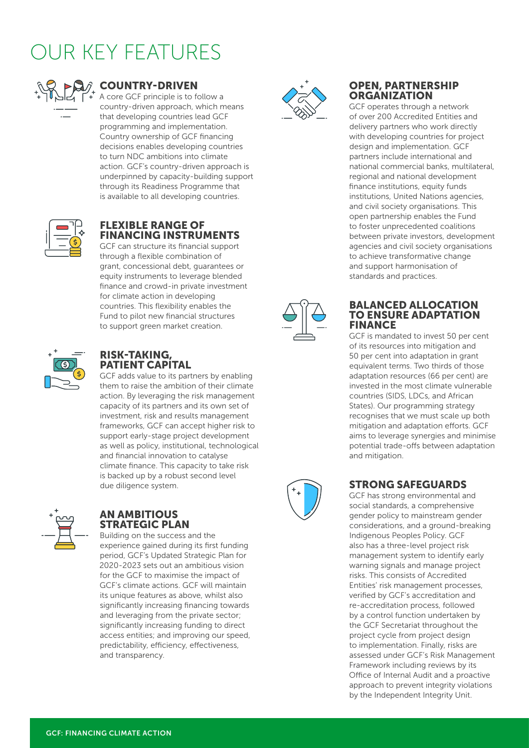# OUR KEY FEATURES



### COUNTRY-DRIVEN

A core GCF principle is to follow a country-driven approach, which means that developing countries lead GCF programming and implementation. Country ownership of GCF financing decisions enables developing countries to turn NDC ambitions into climate action. GCF's country-driven approach is underpinned by capacity-building support through its Readiness Programme that is available to all developing countries.



#### FLEXIBLE RANGE OF FINANCING INSTRUMENTS

GCF can structure its financial support through a flexible combination of grant, concessional debt, guarantees or equity instruments to leverage blended finance and crowd-in private investment for climate action in developing countries. This flexibility enables the Fund to pilot new financial structures to support green market creation.



#### RISK-TAKING, PATIENT CAPITAL

GCF adds value to its partners by enabling them to raise the ambition of their climate action. By leveraging the risk management capacity of its partners and its own set of investment, risk and results management frameworks, GCF can accept higher risk to support early-stage project development as well as policy, institutional, technological and financial innovation to catalyse climate finance. This capacity to take risk is backed up by a robust second level due diligence system.



#### AN AMBITIOUS STRATEGIC PLAN

Building on the success and the experience gained during its first funding period, GCF's Updated Strategic Plan for 2020-2023 sets out an ambitious vision for the GCF to maximise the impact of GCF's climate actions. GCF will maintain its unique features as above, whilst also significantly increasing financing towards and leveraging from the private sector; significantly increasing funding to direct access entities; and improving our speed, predictability, efficiency, effectiveness, and transparency.



#### OPEN, PARTNERSHIP **ORGANIZATION**

GCF operates through a network of over 200 Accredited Entities and delivery partners who work directly with developing countries for project design and implementation. GCF partners include international and national commercial banks, multilateral, regional and national development finance institutions, equity funds institutions, United Nations agencies, and civil society organisations. This open partnership enables the Fund to foster unprecedented coalitions between private investors, development agencies and civil society organisations to achieve transformative change and support harmonisation of standards and practices.



#### BALANCED ALLOCATION TO ENSURE ADAPTATION FINANCE

GCF is mandated to invest 50 per cent of its resources into mitigation and 50 per cent into adaptation in grant equivalent terms. Two thirds of those adaptation resources (66 per cent) are invested in the most climate vulnerable countries (SIDS, LDCs, and African States). Our programming strategy recognises that we must scale up both mitigation and adaptation efforts. GCF aims to leverage synergies and minimise potential trade-offs between adaptation and mitigation.



## STRONG SAFEGUARDS

GCF has strong environmental and social standards, a comprehensive gender policy to mainstream gender considerations, and a ground-breaking Indigenous Peoples Policy. GCF also has a three-level project risk management system to identify early warning signals and manage project risks. This consists of Accredited Entities' risk management processes, verified by GCF's accreditation and re-accreditation process, followed by a control function undertaken by the GCF Secretariat throughout the project cycle from project design to implementation. Finally, risks are assessed under GCF's Risk Management Framework including reviews by its Office of Internal Audit and a proactive approach to prevent integrity violations by the Independent Integrity Unit.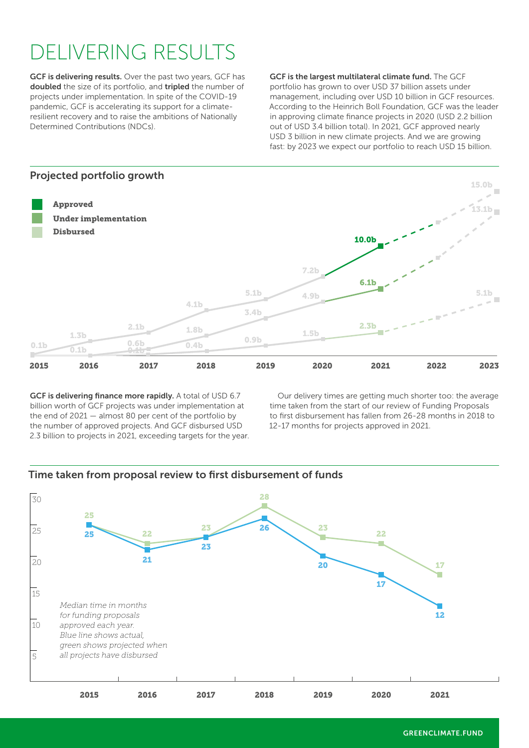# DELIVERING RESULTS

GCF is delivering results. Over the past two years, GCF has doubled the size of its portfolio, and tripled the number of projects under implementation. In spite of the COVID-19 pandemic, GCF is accelerating its support for a climateresilient recovery and to raise the ambitions of Nationally Determined Contributions (NDCs).

GCF is the largest multilateral climate fund. The GCF portfolio has grown to over USD 37 billion assets under management, including over USD 10 billion in GCF resources. According to the Heinrich Boll Foundation, GCF was the leader in approving climate finance projects in 2020 (USD 2.2 billion out of USD 3.4 billion total). In 2021, GCF approved nearly USD 3 billion in new climate projects. And we are growing fast: by 2023 we expect our portfolio to reach USD 15 billion.



GCF is delivering finance more rapidly. A total of USD 6.7 billion worth of GCF projects was under implementation at the end of 2021 — almost 80 per cent of the portfolio by the number of approved projects. And GCF disbursed USD 2.3 billion to projects in 2021, exceeding targets for the year.

Our delivery times are getting much shorter too: the average time taken from the start of our review of Funding Proposals to first disbursement has fallen from 26-28 months in 2018 to 12-17 months for projects approved in 2021.



#### Time taken from proposal review to first disbursement of funds